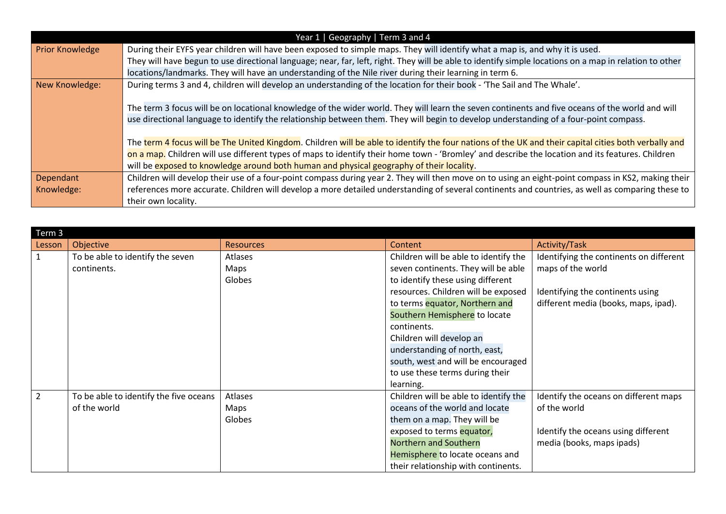| Year 1   Geography   Term 3 and 4 |                                                                                                                                                        |  |  |  |  |  |
|-----------------------------------|--------------------------------------------------------------------------------------------------------------------------------------------------------|--|--|--|--|--|
| <b>Prior Knowledge</b>            | During their EYFS year children will have been exposed to simple maps. They will identify what a map is, and why it is used.                           |  |  |  |  |  |
|                                   | They will have begun to use directional language; near, far, left, right. They will be able to identify simple locations on a map in relation to other |  |  |  |  |  |
|                                   | locations/landmarks. They will have an understanding of the Nile river during their learning in term 6.                                                |  |  |  |  |  |
| New Knowledge:                    | During terms 3 and 4, children will develop an understanding of the location for their book - 'The Sail and The Whale'.                                |  |  |  |  |  |
|                                   |                                                                                                                                                        |  |  |  |  |  |
|                                   | The term 3 focus will be on locational knowledge of the wider world. They will learn the seven continents and five oceans of the world and will        |  |  |  |  |  |
|                                   | use directional language to identify the relationship between them. They will begin to develop understanding of a four-point compass.                  |  |  |  |  |  |
|                                   |                                                                                                                                                        |  |  |  |  |  |
|                                   | The term 4 focus will be The United Kingdom. Children will be able to identify the four nations of the UK and their capital cities both verbally and   |  |  |  |  |  |
|                                   | on a map. Children will use different types of maps to identify their home town - 'Bromley' and describe the location and its features. Children       |  |  |  |  |  |
|                                   | will be exposed to knowledge around both human and physical geography of their locality.                                                               |  |  |  |  |  |
| Dependant                         | Children will develop their use of a four-point compass during year 2. They will then move on to using an eight-point compass in KS2, making their     |  |  |  |  |  |
| Knowledge:                        | references more accurate. Children will develop a more detailed understanding of several continents and countries, as well as comparing these to       |  |  |  |  |  |
|                                   | their own locality.                                                                                                                                    |  |  |  |  |  |

| Term 3         |                                        |                  |                                       |                                         |  |  |  |  |
|----------------|----------------------------------------|------------------|---------------------------------------|-----------------------------------------|--|--|--|--|
| Lesson         | Objective                              | <b>Resources</b> | Content                               | Activity/Task                           |  |  |  |  |
|                | To be able to identify the seven       | <b>Atlases</b>   | Children will be able to identify the | Identifying the continents on different |  |  |  |  |
|                | continents.                            | Maps             | seven continents. They will be able   | maps of the world                       |  |  |  |  |
|                |                                        | Globes           | to identify these using different     |                                         |  |  |  |  |
|                |                                        |                  | resources. Children will be exposed   | Identifying the continents using        |  |  |  |  |
|                |                                        |                  | to terms equator, Northern and        | different media (books, maps, ipad).    |  |  |  |  |
|                |                                        |                  | Southern Hemisphere to locate         |                                         |  |  |  |  |
|                |                                        |                  | continents.                           |                                         |  |  |  |  |
|                |                                        |                  | Children will develop an              |                                         |  |  |  |  |
|                |                                        |                  | understanding of north, east,         |                                         |  |  |  |  |
|                |                                        |                  | south, west and will be encouraged    |                                         |  |  |  |  |
|                |                                        |                  | to use these terms during their       |                                         |  |  |  |  |
|                |                                        |                  | learning.                             |                                         |  |  |  |  |
| $\overline{2}$ | To be able to identify the five oceans | Atlases          | Children will be able to identify the | Identify the oceans on different maps   |  |  |  |  |
|                | of the world                           | Maps             | oceans of the world and locate        | of the world                            |  |  |  |  |
|                |                                        | Globes           | them on a map. They will be           |                                         |  |  |  |  |
|                |                                        |                  | exposed to terms equator,             | Identify the oceans using different     |  |  |  |  |
|                |                                        |                  | Northern and Southern                 | media (books, maps ipads)               |  |  |  |  |
|                |                                        |                  | Hemisphere to locate oceans and       |                                         |  |  |  |  |
|                |                                        |                  | their relationship with continents.   |                                         |  |  |  |  |